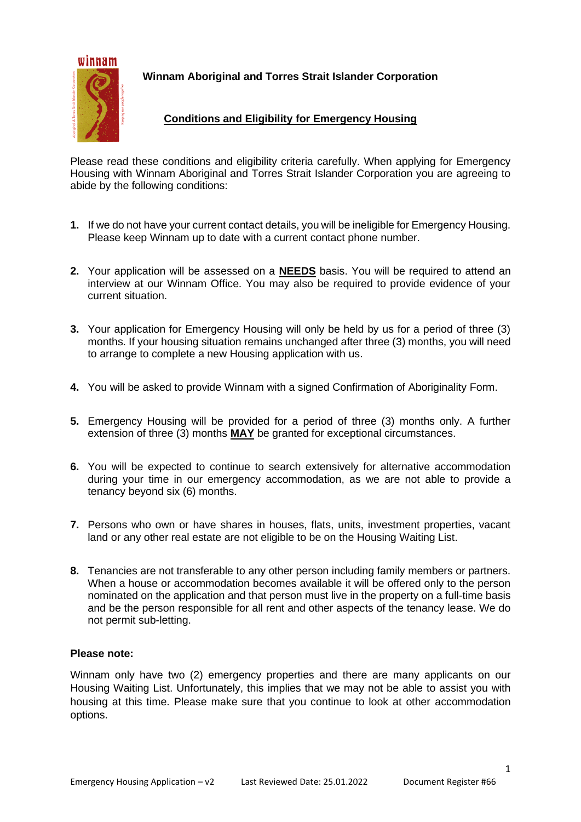

**Winnam Aboriginal and Torres Strait Islander Corporation**

## **Conditions and Eligibility for Emergency Housing**

Please read these conditions and eligibility criteria carefully. When applying for Emergency Housing with Winnam Aboriginal and Torres Strait Islander Corporation you are agreeing to abide by the following conditions:

- **1.** If we do not have your current contact details, you will be ineligible for Emergency Housing. Please keep Winnam up to date with a current contact phone number.
- **2.** Your application will be assessed on a **NEEDS** basis. You will be required to attend an interview at our Winnam Office. You may also be required to provide evidence of your current situation.
- **3.** Your application for Emergency Housing will only be held by us for a period of three (3) months. If your housing situation remains unchanged after three (3) months, you will need to arrange to complete a new Housing application with us.
- **4.** You will be asked to provide Winnam with a signed Confirmation of Aboriginality Form.
- **5.** Emergency Housing will be provided for a period of three (3) months only. A further extension of three (3) months **MAY** be granted for exceptional circumstances.
- **6.** You will be expected to continue to search extensively for alternative accommodation during your time in our emergency accommodation, as we are not able to provide a tenancy beyond six (6) months.
- **7.** Persons who own or have shares in houses, flats, units, investment properties, vacant land or any other real estate are not eligible to be on the Housing Waiting List.
- **8.** Tenancies are not transferable to any other person including family members or partners. When a house or accommodation becomes available it will be offered only to the person nominated on the application and that person must live in the property on a full-time basis and be the person responsible for all rent and other aspects of the tenancy lease. We do not permit sub-letting.

#### **Please note:**

Winnam only have two (2) emergency properties and there are many applicants on our Housing Waiting List. Unfortunately, this implies that we may not be able to assist you with housing at this time. Please make sure that you continue to look at other accommodation options.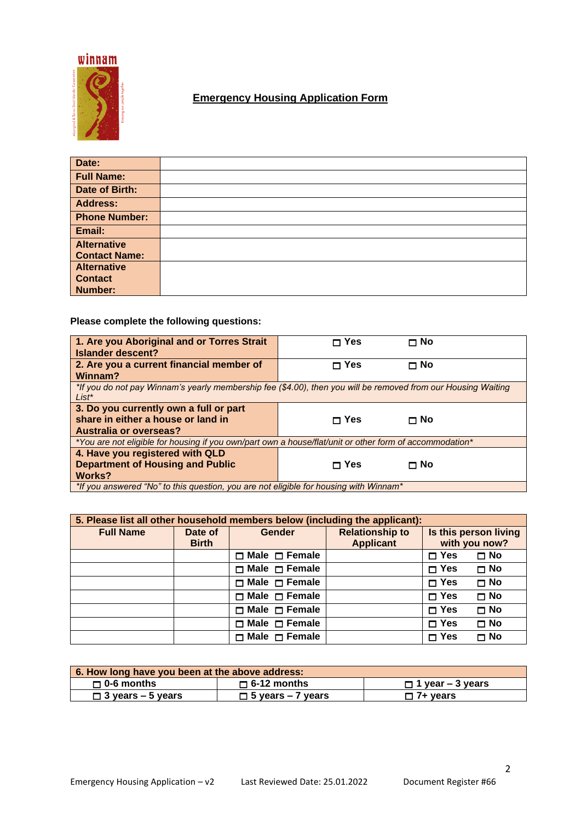

# **Emergency Housing Application Form**

| Date:                |  |
|----------------------|--|
| <b>Full Name:</b>    |  |
| Date of Birth:       |  |
| <b>Address:</b>      |  |
| <b>Phone Number:</b> |  |
| Email:               |  |
| <b>Alternative</b>   |  |
| <b>Contact Name:</b> |  |
| <b>Alternative</b>   |  |
| <b>Contact</b>       |  |
| <b>Number:</b>       |  |

## **Please complete the following questions:**

| 1. Are you Aboriginal and or Torres Strait<br><b>Islander descent?</b>                                                    | ⊓ Yes        | Π No      |  |  |
|---------------------------------------------------------------------------------------------------------------------------|--------------|-----------|--|--|
| 2. Are you a current financial member of<br>Winnam?                                                                       | $\sqcap$ Yes | $\Box$ No |  |  |
| *If you do not pay Winnam's yearly membership fee (\$4.00), then you will be removed from our Housing Waiting<br>$List^*$ |              |           |  |  |
| 3. Do you currently own a full or part                                                                                    |              |           |  |  |
| share in either a house or land in                                                                                        | $\sqcap$ Yes | Π No      |  |  |
| <b>Australia or overseas?</b>                                                                                             |              |           |  |  |
| *You are not eligible for housing if you own/part own a house/flat/unit or other form of accommodation*                   |              |           |  |  |
| 4. Have you registered with QLD                                                                                           |              |           |  |  |
| <b>Department of Housing and Public</b>                                                                                   | ⊓ Yes        | ⊓ No      |  |  |
| <b>Works?</b>                                                                                                             |              |           |  |  |
| *If you answered "No" to this question, you are not eligible for housing with Winnam*                                     |              |           |  |  |

| 5. Please list all other household members below (including the applicant): |                         |                           |                                            |                                        |           |
|-----------------------------------------------------------------------------|-------------------------|---------------------------|--------------------------------------------|----------------------------------------|-----------|
| <b>Full Name</b>                                                            | Date of<br><b>Birth</b> | <b>Gender</b>             | <b>Relationship to</b><br><b>Applicant</b> | Is this person living<br>with you now? |           |
|                                                                             |                         | $\Box$ Male $\Box$ Female |                                            | $\Box$ Yes                             | $\Box$ No |
|                                                                             |                         | $\Box$ Male $\Box$ Female |                                            | $\Box$ Yes                             | $\Box$ No |
|                                                                             |                         | $\Box$ Male $\Box$ Female |                                            | $\square$ Yes                          | $\Box$ No |
|                                                                             |                         | $\Box$ Male $\Box$ Female |                                            | $\Box$ Yes                             | $\Box$ No |
|                                                                             |                         | $\Box$ Male $\Box$ Female |                                            | $\Box$ Yes                             | $\Box$ No |
|                                                                             |                         | $\Box$ Male $\Box$ Female |                                            | $\square$ Yes                          | $\Box$ No |
|                                                                             |                         | $\Box$ Male $\Box$ Female |                                            | $\square$ Yes                          | $\Box$ No |

| 6. How long have you been at the above address: |                          |                         |  |  |
|-------------------------------------------------|--------------------------|-------------------------|--|--|
| $\Box$ 0-6 months                               | $\Box$ 6-12 months       | $\Box$ 1 year – 3 years |  |  |
| $\Box$ 3 years – 5 years                        | $\Box$ 5 years – 7 years | $\square$ 7+ years      |  |  |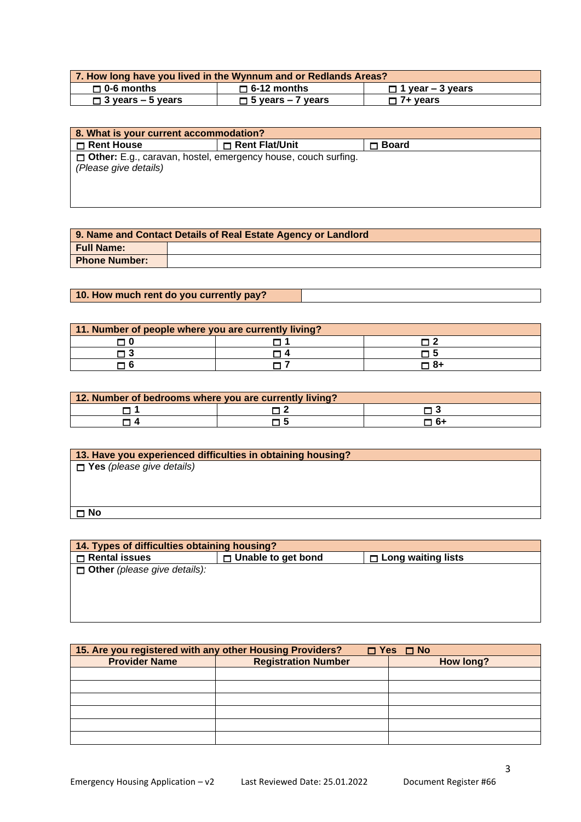| 7. How long have you lived in the Wynnum and or Redlands Areas? |                                               |                 |  |
|-----------------------------------------------------------------|-----------------------------------------------|-----------------|--|
| $\Box$ 0-6 months                                               | $\Box$ 6-12 months<br>$\Box$ 1 year – 3 years |                 |  |
| $\Box$ 3 years – 5 years                                        | $\Box$ 5 years – 7 years                      | $\Box$ 7+ years |  |

| 8. What is your current accommodation?                                                          |                |              |  |  |
|-------------------------------------------------------------------------------------------------|----------------|--------------|--|--|
| Rent House                                                                                      | Rent Flat/Unit | $\Box$ Board |  |  |
| <b>D</b> Other: E.g., caravan, hostel, emergency house, couch surfing.<br>(Please give details) |                |              |  |  |

| 9. Name and Contact Details of Real Estate Agency or Landlord |  |  |
|---------------------------------------------------------------|--|--|
| <b>Full Name:</b>                                             |  |  |
| <b>Phone Number:</b>                                          |  |  |

## **10. How much rent do you currently pay?**

| 11. Number of people where you are currently living? |  |    |  |
|------------------------------------------------------|--|----|--|
|                                                      |  |    |  |
|                                                      |  |    |  |
|                                                      |  | 84 |  |

| 12. Number of bedrooms where you are currently living? |  |     |  |
|--------------------------------------------------------|--|-----|--|
|                                                        |  |     |  |
|                                                        |  | -61 |  |

| 13. Have you experienced difficulties in obtaining housing? |
|-------------------------------------------------------------|
| $\Box$ Yes (please give details)                            |
|                                                             |
|                                                             |
|                                                             |
| ם T                                                         |

| 14. Types of difficulties obtaining housing? |                           |                           |  |
|----------------------------------------------|---------------------------|---------------------------|--|
| $\Box$ Rental issues                         | $\Box$ Unable to get bond | $\Box$ Long waiting lists |  |
| $\Box$ Other (please give details):          |                           |                           |  |
|                                              |                           |                           |  |
|                                              |                           |                           |  |
|                                              |                           |                           |  |
|                                              |                           |                           |  |

| 15. Are you registered with any other Housing Providers?<br>$\Box$ Yes $\Box$ No |                            |  |           |  |
|----------------------------------------------------------------------------------|----------------------------|--|-----------|--|
| <b>Provider Name</b>                                                             | <b>Registration Number</b> |  | How long? |  |
|                                                                                  |                            |  |           |  |
|                                                                                  |                            |  |           |  |
|                                                                                  |                            |  |           |  |
|                                                                                  |                            |  |           |  |
|                                                                                  |                            |  |           |  |
|                                                                                  |                            |  |           |  |